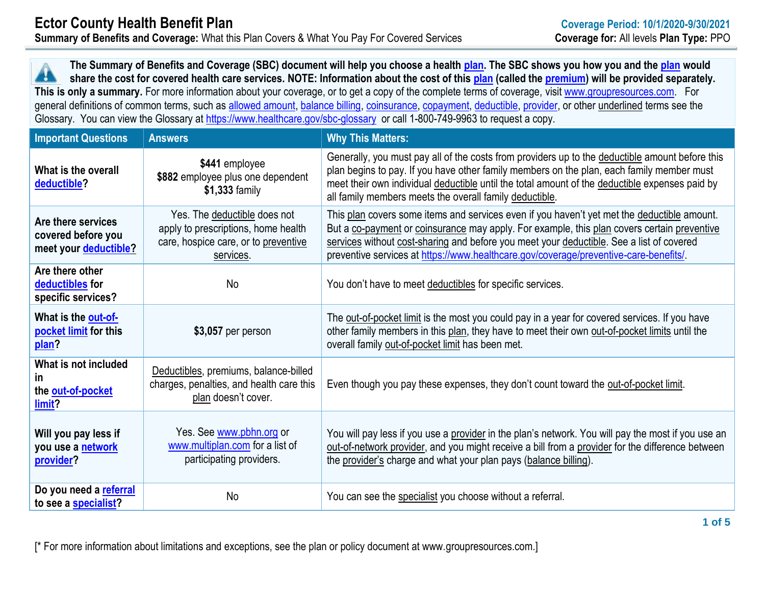**The Summary of Benefits and Coverage (SBC) document will help you choose a health [plan.](https://www.healthcare.gov/sbc-glossary/#plan) The SBC shows you how you and th[e plan](https://www.healthcare.gov/sbc-glossary/#plan) would share the cost for covered health care services. NOTE: Information about the cost of this [plan](https://www.healthcare.gov/sbc-glossary/#plan) (called the [premium\)](https://www.healthcare.gov/sbc-glossary/#premium) will be provided separately.** 49 **This is only a summary.** For more information about your coverage, or to get a copy of the complete terms of coverage, visit [www.groupresources.com.](http://www.groupresources.com/) For general definitions of common terms, such as [allowed amount,](https://www.healthcare.gov/sbc-glossary/#allowed-amount) [balance billing,](https://www.healthcare.gov/sbc-glossary/#balance-billing) [coinsurance,](https://www.healthcare.gov/sbc-glossary/#coinsurance) [copayment,](https://www.healthcare.gov/sbc-glossary/#copayment) [deductible,](https://www.healthcare.gov/sbc-glossary/#deductible) [provider,](https://www.healthcare.gov/sbc-glossary/#provider) or other underlined terms see the Glossary. You can view the Glossary at<https://www.healthcare.gov/sbc-glossary> or call 1-800-749-9963 to request a copy.

| <b>Important Questions</b>                                        | <b>Answers</b>                                                                                                           | <b>Why This Matters:</b>                                                                                                                                                                                                                                                                                                                                                       |
|-------------------------------------------------------------------|--------------------------------------------------------------------------------------------------------------------------|--------------------------------------------------------------------------------------------------------------------------------------------------------------------------------------------------------------------------------------------------------------------------------------------------------------------------------------------------------------------------------|
| What is the overall<br>deductible?                                | \$441 employee<br>\$882 employee plus one dependent<br>\$1,333 family                                                    | Generally, you must pay all of the costs from providers up to the deductible amount before this<br>plan begins to pay. If you have other family members on the plan, each family member must<br>meet their own individual deductible until the total amount of the deductible expenses paid by<br>all family members meets the overall family deductible.                      |
| Are there services<br>covered before you<br>meet your deductible? | Yes. The deductible does not<br>apply to prescriptions, home health<br>care, hospice care, or to preventive<br>services. | This plan covers some items and services even if you haven't yet met the deductible amount.<br>But a co-payment or coinsurance may apply. For example, this plan covers certain preventive<br>services without cost-sharing and before you meet your deductible. See a list of covered<br>preventive services at https://www.healthcare.gov/coverage/preventive-care-benefits/ |
| Are there other<br>deductibles for<br>specific services?          | No                                                                                                                       | You don't have to meet deductibles for specific services.                                                                                                                                                                                                                                                                                                                      |
| What is the out-of-<br>pocket limit for this<br>plan?             | $$3,057$ per person                                                                                                      | The out-of-pocket limit is the most you could pay in a year for covered services. If you have<br>other family members in this plan, they have to meet their own out-of-pocket limits until the<br>overall family out-of-pocket limit has been met.                                                                                                                             |
| What is not included<br><b>in</b><br>the out-of-pocket<br>limit?  | Deductibles, premiums, balance-billed<br>charges, penalties, and health care this<br>plan doesn't cover.                 | Even though you pay these expenses, they don't count toward the out-of-pocket limit.                                                                                                                                                                                                                                                                                           |
| Will you pay less if<br>you use a network<br>provider?            | Yes. See www.pbhn.org or<br>www.multiplan.com for a list of<br>participating providers.                                  | You will pay less if you use a provider in the plan's network. You will pay the most if you use an<br>out-of-network provider, and you might receive a bill from a provider for the difference between<br>the provider's charge and what your plan pays (balance billing).                                                                                                     |
| Do you need a referral<br>to see a specialist?                    | <b>No</b>                                                                                                                | You can see the specialist you choose without a referral.                                                                                                                                                                                                                                                                                                                      |

[\* For more information about limitations and exceptions, see the plan or policy document at www.groupresources.com.]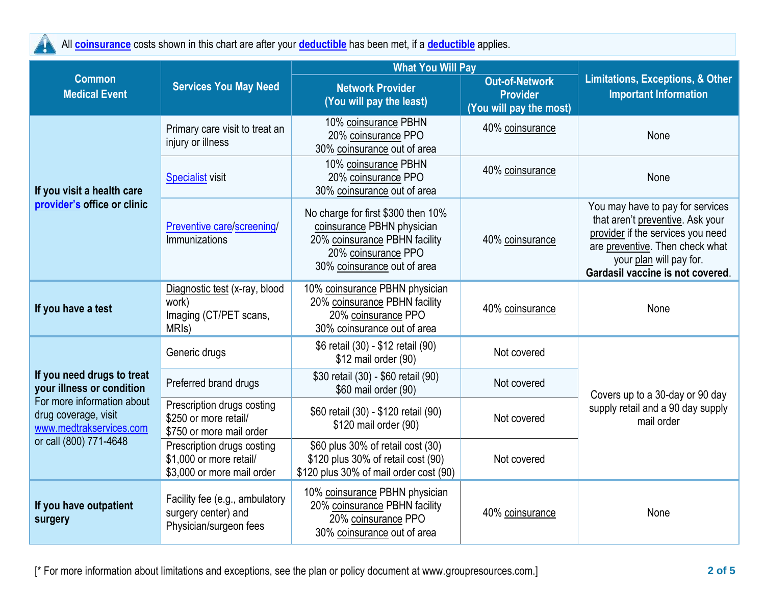

All **[coinsurance](https://www.healthcare.gov/sbc-glossary/#coinsurance)** costs shown in this chart are after your **[deductible](https://www.healthcare.gov/sbc-glossary/#deductible)** has been met, if a **[deductible](https://www.healthcare.gov/sbc-glossary/#deductible)** applies.

|                                                                                                                                                                    | <b>Services You May Need</b>                                                           | <b>What You Will Pay</b>                                                                                                                                |                                                                     |                                                                                                                                                                                                             |  |
|--------------------------------------------------------------------------------------------------------------------------------------------------------------------|----------------------------------------------------------------------------------------|---------------------------------------------------------------------------------------------------------------------------------------------------------|---------------------------------------------------------------------|-------------------------------------------------------------------------------------------------------------------------------------------------------------------------------------------------------------|--|
| <b>Common</b><br><b>Medical Event</b>                                                                                                                              |                                                                                        | <b>Network Provider</b><br>(You will pay the least)                                                                                                     | <b>Out-of-Network</b><br><b>Provider</b><br>(You will pay the most) | <b>Limitations, Exceptions, &amp; Other</b><br><b>Important Information</b>                                                                                                                                 |  |
| If you visit a health care<br>provider's office or clinic                                                                                                          | Primary care visit to treat an<br>injury or illness                                    | 10% coinsurance PBHN<br>20% coinsurance PPO<br>30% coinsurance out of area                                                                              | 40% coinsurance                                                     | None                                                                                                                                                                                                        |  |
|                                                                                                                                                                    | <b>Specialist visit</b>                                                                | 10% coinsurance PBHN<br>20% coinsurance PPO<br>30% coinsurance out of area                                                                              | 40% coinsurance                                                     | None                                                                                                                                                                                                        |  |
|                                                                                                                                                                    | Preventive care/screening/<br>Immunizations                                            | No charge for first \$300 then 10%<br>coinsurance PBHN physician<br>20% coinsurance PBHN facility<br>20% coinsurance PPO<br>30% coinsurance out of area | 40% coinsurance                                                     | You may have to pay for services<br>that aren't preventive. Ask your<br>provider if the services you need<br>are preventive. Then check what<br>your plan will pay for.<br>Gardasil vaccine is not covered. |  |
| If you have a test                                                                                                                                                 | Diagnostic test (x-ray, blood<br>work)<br>Imaging (CT/PET scans,<br>MRI <sub>s</sub> ) | 10% coinsurance PBHN physician<br>20% coinsurance PBHN facility<br>20% coinsurance PPO<br>30% coinsurance out of area                                   | 40% coinsurance                                                     | None                                                                                                                                                                                                        |  |
| If you need drugs to treat<br>your illness or condition<br>For more information about<br>drug coverage, visit<br>www.medtrakservices.com<br>or call (800) 771-4648 | Generic drugs                                                                          | \$6 retail (30) - \$12 retail (90)<br>\$12 mail order (90)                                                                                              | Not covered                                                         |                                                                                                                                                                                                             |  |
|                                                                                                                                                                    | Preferred brand drugs                                                                  | \$30 retail (30) - \$60 retail (90)<br>\$60 mail order (90)                                                                                             | Not covered                                                         | Covers up to a 30-day or 90 day                                                                                                                                                                             |  |
|                                                                                                                                                                    | Prescription drugs costing<br>\$250 or more retail/<br>\$750 or more mail order        | \$60 retail (30) - \$120 retail (90)<br>\$120 mail order (90)                                                                                           | Not covered                                                         | supply retail and a 90 day supply<br>mail order                                                                                                                                                             |  |
|                                                                                                                                                                    | Prescription drugs costing<br>\$1,000 or more retail/<br>\$3,000 or more mail order    | \$60 plus 30% of retail cost (30)<br>\$120 plus 30% of retail cost (90)<br>\$120 plus 30% of mail order cost (90)                                       | Not covered                                                         |                                                                                                                                                                                                             |  |
| If you have outpatient<br>surgery                                                                                                                                  | Facility fee (e.g., ambulatory<br>surgery center) and<br>Physician/surgeon fees        | 10% coinsurance PBHN physician<br>20% coinsurance PBHN facility<br>20% coinsurance PPO<br>30% coinsurance out of area                                   | 40% coinsurance                                                     | None                                                                                                                                                                                                        |  |

[\* For more information about limitations and exceptions, see the plan or policy document at www.groupresources.com.] **2 of 5**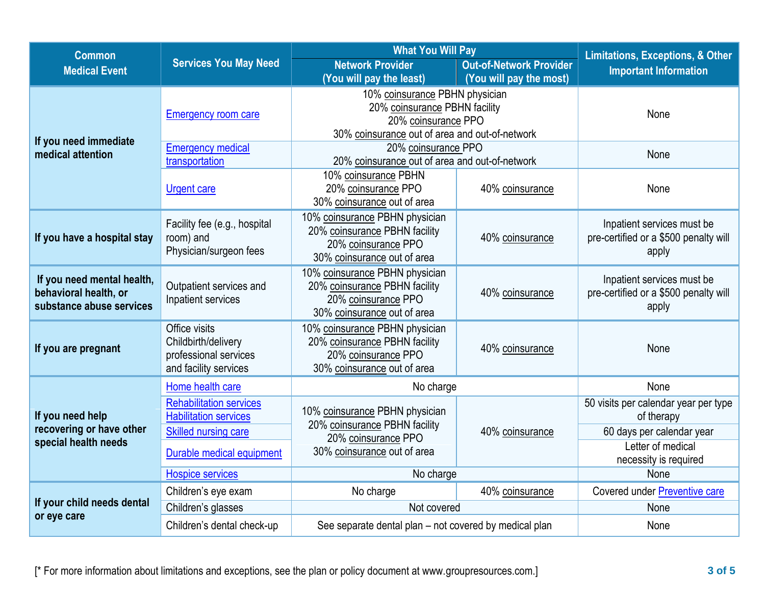| <b>Common</b>                                    | <b>Services You May Need</b>   | <b>What You Will Pay</b>                                        |                                | <b>Limitations, Exceptions, &amp; Other</b>    |  |
|--------------------------------------------------|--------------------------------|-----------------------------------------------------------------|--------------------------------|------------------------------------------------|--|
| <b>Medical Event</b>                             |                                | <b>Network Provider</b>                                         | <b>Out-of-Network Provider</b> | <b>Important Information</b>                   |  |
|                                                  |                                | (You will pay the least)                                        | (You will pay the most)        |                                                |  |
|                                                  | <b>Emergency room care</b>     | 10% coinsurance PBHN physician                                  |                                | None                                           |  |
|                                                  |                                | 20% coinsurance PBHN facility<br>20% coinsurance PPO            |                                |                                                |  |
|                                                  |                                | 30% coinsurance out of area and out-of-network                  |                                |                                                |  |
| If you need immediate                            | <b>Emergency medical</b>       | 20% coinsurance PPO                                             |                                |                                                |  |
| medical attention                                | transportation                 | 20% coinsurance out of area and out-of-network                  |                                | None                                           |  |
|                                                  |                                | 10% coinsurance PBHN                                            |                                | None                                           |  |
|                                                  | <b>Urgent care</b>             | 20% coinsurance PPO                                             | 40% coinsurance                |                                                |  |
|                                                  |                                | 30% coinsurance out of area                                     |                                |                                                |  |
|                                                  | Facility fee (e.g., hospital   | 10% coinsurance PBHN physician                                  |                                | Inpatient services must be                     |  |
| If you have a hospital stay                      | room) and                      | 20% coinsurance PBHN facility                                   | 40% coinsurance                | pre-certified or a \$500 penalty will          |  |
|                                                  | Physician/surgeon fees         | 20% coinsurance PPO<br>30% coinsurance out of area              |                                | apply                                          |  |
|                                                  |                                | 10% coinsurance PBHN physician                                  |                                |                                                |  |
| If you need mental health,                       | Outpatient services and        | 20% coinsurance PBHN facility                                   |                                | Inpatient services must be                     |  |
| behavioral health, or                            | Inpatient services             | 20% coinsurance PPO                                             | 40% coinsurance                | pre-certified or a \$500 penalty will<br>apply |  |
| substance abuse services                         |                                | 30% coinsurance out of area                                     |                                |                                                |  |
|                                                  | Office visits                  | 10% coinsurance PBHN physician                                  |                                | None                                           |  |
| If you are pregnant                              | Childbirth/delivery            | 20% coinsurance PBHN facility                                   | 40% coinsurance                |                                                |  |
|                                                  | professional services          | 20% coinsurance PPO                                             |                                |                                                |  |
|                                                  | and facility services          | 30% coinsurance out of area                                     |                                |                                                |  |
|                                                  | Home health care               | No charge                                                       |                                | None                                           |  |
|                                                  | <b>Rehabilitation services</b> |                                                                 |                                | 50 visits per calendar year per type           |  |
| If you need help                                 | <b>Habilitation services</b>   | 10% coinsurance PBHN physician<br>20% coinsurance PBHN facility | 40% coinsurance                | of therapy                                     |  |
| recovering or have other<br>special health needs | <b>Skilled nursing care</b>    | 20% coinsurance PPO                                             |                                | 60 days per calendar year                      |  |
|                                                  | Durable medical equipment      | 30% coinsurance out of area                                     |                                | Letter of medical                              |  |
|                                                  |                                |                                                                 |                                | necessity is required                          |  |
|                                                  | <b>Hospice services</b>        | No charge                                                       |                                | None                                           |  |
| If your child needs dental<br>or eye care        | Children's eye exam            | No charge                                                       | 40% coinsurance                | Covered under Preventive care                  |  |
|                                                  | Children's glasses             | Not covered                                                     |                                | None                                           |  |
|                                                  | Children's dental check-up     | See separate dental plan - not covered by medical plan          |                                | None                                           |  |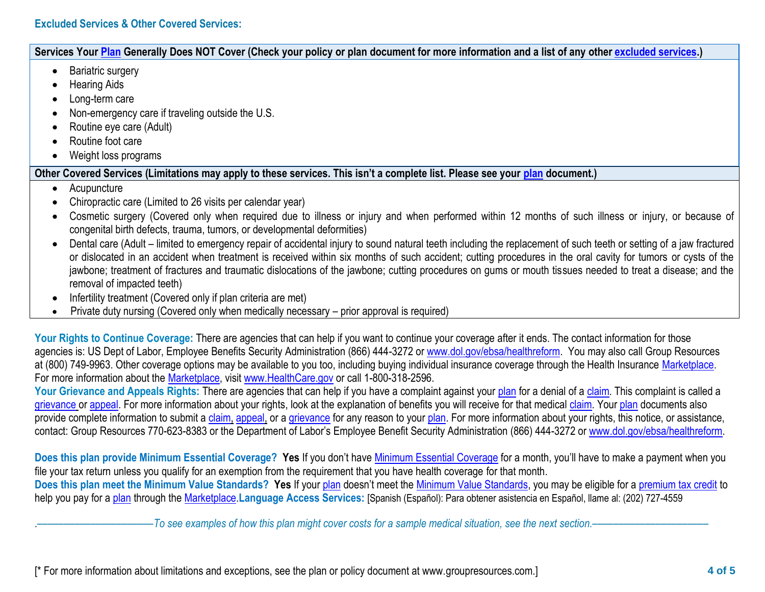## **Excluded Services & Other Covered Services:**

## **Services Your [Plan](https://www.healthcare.gov/sbc-glossary/#plan) Generally Does NOT Cover (Check your policy or plan document for more information and a list of any other [excluded services.](https://www.healthcare.gov/sbc-glossary/#excluded-services))**

- Bariatric surgery
- Hearing Aids
- Long-term care
- Non-emergency care if traveling outside the U.S.
- Routine eye care (Adult)
- Routine foot care
- Weight loss programs

## **Other Covered Services (Limitations may apply to these services. This isn't a complete list. Please see your [plan](https://www.healthcare.gov/sbc-glossary/#plan) document.)**

- Acupuncture
- Chiropractic care (Limited to 26 visits per calendar year)
- Cosmetic surgery (Covered only when required due to illness or injury and when performed within 12 months of such illness or injury, or because of congenital birth defects, trauma, tumors, or developmental deformities)
- Dental care (Adult limited to emergency repair of accidental injury to sound natural teeth including the replacement of such teeth or setting of a jaw fractured or dislocated in an accident when treatment is received within six months of such accident; cutting procedures in the oral cavity for tumors or cysts of the jawbone; treatment of fractures and traumatic dislocations of the jawbone; cutting procedures on gums or mouth tissues needed to treat a disease; and the removal of impacted teeth)
- Infertility treatment (Covered only if plan criteria are met)
- Private duty nursing (Covered only when medically necessary prior approval is required)

Your Rights to Continue Coverage: There are agencies that can help if you want to continue your coverage after it ends. The contact information for those agencies is: US Dept of Labor, Employee Benefits Security Administration (866) 444-3272 or [www.dol.gov/ebsa/healthreform.](http://www.dol.gov/ebsa/healthreform) You may also call Group Resources at (800) 749-9963. Other coverage options may be available to you too, including buying individual insurance coverage through the Health Insurance [Marketplace.](https://www.healthcare.gov/sbc-glossary/#marketplace) For more information about the [Marketplace,](https://www.healthcare.gov/sbc-glossary/#marketplace) visit [www.HealthCare.gov](http://www.healthcare.gov/) or call 1-800-318-2596.

Your Grievance and Appeals Rights: There are agencies that can help if you have a complaint against your [plan](https://www.healthcare.gov/sbc-glossary/#plan) for a denial of a [claim.](https://www.healthcare.gov/sbc-glossary/#claim) This complaint is called a [grievance](https://www.healthcare.gov/sbc-glossary/#grievance) or [appeal.](https://www.healthcare.gov/sbc-glossary/#appeal) For more information about your rights, look at the explanation of benefits you will receive for that medical [claim.](https://www.healthcare.gov/sbc-glossary/#claim) Your [plan](https://www.healthcare.gov/sbc-glossary/#plan) documents also provide complete information to submit a [claim,](https://www.healthcare.gov/sbc-glossary/#claim) [appeal,](https://www.healthcare.gov/sbc-glossary/#appeal) or a [grievance](https://www.healthcare.gov/sbc-glossary/#grievance) for any reason to your [plan.](https://www.healthcare.gov/sbc-glossary/#plan) For more information about your rights, this notice, or assistance, contact: Group Resources 770-623-8383 or the Department of Labor's Employee Benefit Security Administration (866) 444-3272 or [www.dol.gov/ebsa/healthreform.](http://www.dol.gov/ebsa/healthreform)

**Does this plan provide Minimum Essential Coverage? Yes** If you don't have [Minimum Essential Coverage](https://www.healthcare.gov/sbc-glossary/#minimum-essential-coverage) for a month, you'll have to make a payment when you file your tax return unless you qualify for an exemption from the requirement that you have health coverage for that month. **Does this plan meet the Minimum Value Standards? Yes** If your [plan](https://www.healthcare.gov/sbc-glossary/#plan) doesn't meet the [Minimum Value Standards,](https://www.healthcare.gov/sbc-glossary/#minimum-value-standard) you may be eligible for a [premium tax credit](https://www.healthcare.gov/sbc-glossary/#premium-tax-credits) to help you pay for a [plan](https://www.healthcare.gov/sbc-glossary/#plan) through the [Marketplace.](https://www.healthcare.gov/sbc-glossary/#marketplace)**Language Access Services:** [Spanish (Español): Para obtener asistencia en Español, llame al: (202) 727-4559

.––––––––––––––––––––––*To see examples of how this plan might cover costs for a sample medical situation, see the next section.–––––––––––*–––––––––––